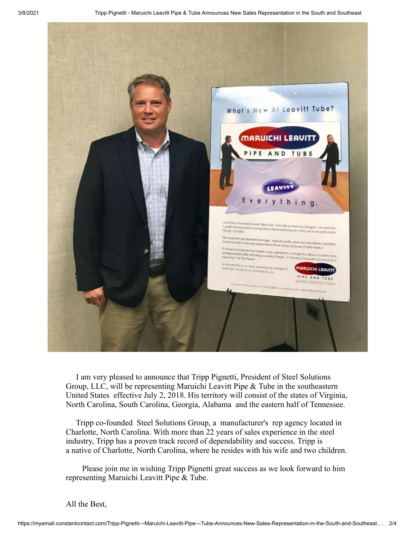

 I am very pleased to announce that Tripp Pignetti, President of Steel Solutions Group, LLC, will be representing Maruichi Leavitt Pipe & Tube in the southeastern United States effective July 2, 2018. His territory will consist of the states of Virginia, North Carolina, South Carolina, Georgia, Alabama and the eastern half of Tennessee.

 Tripp co-founded Steel Solutions Group, a manufacturer's rep agency located in Charlotte, North Carolina. With more than 22 years of sales experience in the steel industry, Tripp has a proven track record of dependability and success. Tripp is a native of Charlotte, North Carolina, where he resides with his wife and two children.

 Please join me in wishing Tripp Pignetti great success as we look forward to him representing Maruichi Leavitt Pipe & Tube.

All the Best,